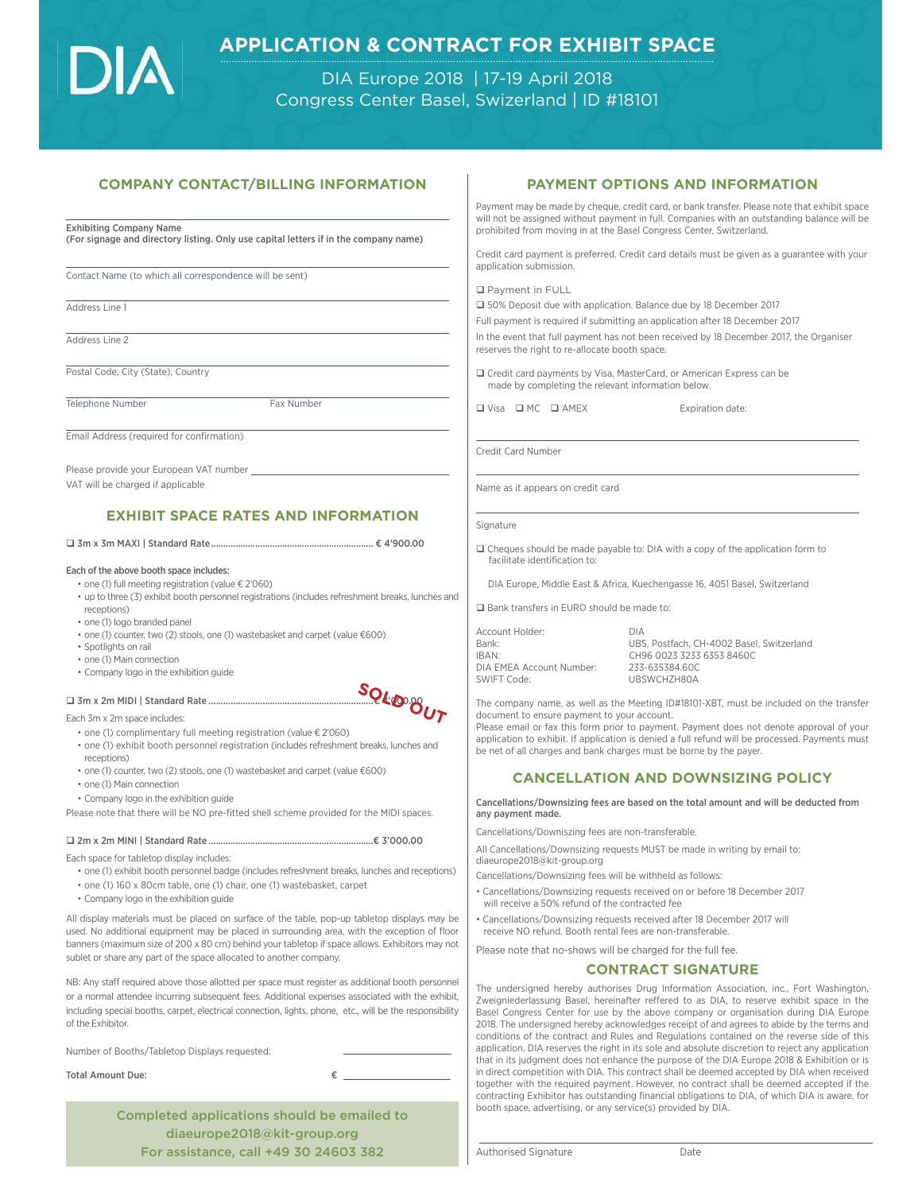# **APPLICATION & CONTRACT FOR EXHIBIT SPACE**

DIA Europe 2018 | 17-19 April 2018 Congress Center Basel, Swizerland | ID #18101

### **COMPANY CONTACT/BILLING INFORMATION COMPANY CONTACT/BILLING INFORMATION**

#### Exhibiting Company Name

(For signage and directory listing. Only use capital letters if in the company name)

Contact Name (to which all correspondence will be sent)

Address Line 1

Address Line 2

Postal Code, City (State), Country

Telephone Number Fax Number

Email Address (required for confirmation)

Please provide your European VAT number VAT will be charged if applicable

# **EXHIBIT SPACE RATES AND INFORMATION**

3m x 3m MAXI | Standard Rate .................................................................. € 4'900.00

#### Each of the above booth space includes:

• one (1) full meeting registration (value € 2'060)

• up to three (3) exhibit booth personnel registrations (includes refreshment breaks, lunches and receptions)

- one (1) logo branded panel
- one (1) counter, two (2) stools, one (1) wastebasket and carpet (value €600)
- Spotlights on rail
- one (1) Main connection
- Company logo in the exhibition guide

#### □ 3m x 2m MIDI | Standard Rate ...

Each 3m x 2m space includes:

• one (1) complimentary full meeting registration (value € 2'060)

- one (1) exhibit booth personnel registration (includes refreshment breaks, lunches and receptions)
- one (1) counter, two (2) stools, one (1) wastebasket and carpet (value €600)
- one (1) Main connection
- Company logo in the exhibition guide

Please note that there will be NO pre-fitted shell scheme provided for the MIDI spaces.

2m x 2m MINI | Standard Rate ...................................................................€ 3'000.00

Each space for tabletop display includes:

• one (1) exhibit booth personnel badge (includes refreshment breaks, lunches and receptions)

- one (1) 160 x 80cm table, one (1) chair, one (1) wastebasket, carpet
- Company logo in the exhibition guide

All display materials must be placed on surface of the table, pop-up tabletop displays may be used. No additional equipment may be placed in surrounding area, with the exception of floor banners (maximum size of 200 x 80 cm) behind your tabletop if space allows. Exhibitors may not sublet or share any part of the space allocated to another company.

NB: Any staff required above those allotted per space must register as additional booth personnel or a normal attendee incurring subsequent fees. Additional expenses associated with the exhibit, including special booths, carpet, electrical connection, lights, phone, etc., will be the responsibility of the Exhibitor.

Number of Booths/Tabletop Displays requested:

Total Amount Due: €

Completed applications should be emailed to diaeurope2018@kit-group.org For assistance, call +49 30 24603 382

## **PAYMENT OPTIONS AND INFORMATION**

Payment may be made by cheque, credit card, or bank transfer. Please note that exhibit space will not be assigned without payment in full. Companies with an outstanding balance will be prohibited from moving in at the Basel Congress Center, Switzerland.

Credit card payment is preferred. Credit card details must be given as a guarantee with your application submission.

**Q** Payment in FULL

□ 50% Deposit due with application. Balance due by 18 December 2017

Full payment is required if submitting an application after 18 December 2017

In the event that full payment has not been received by 18 December 2017, the Organiser reserves the right to re-allocate booth space.

 Credit card payments by Visa, MasterCard, or American Express can be made by completing the relevant information below.

 $\Box$  Visa  $\Box$  MC  $\Box$  AMEX Expiration date:

Credit Card Number

Name as it appears on credit card

Signature

 Cheques should be made payable to: DIA with a copy of the application form to facilitate identification to:

DIA Europe, Middle East & Africa, Kuechengasse 16, 4051 Basel, Switzerland

□ Bank transfers in EURO should be made to:

Account Holder: Bank: UBS, Postfach, CH-4002 Basel, Switzerland IBAN: CH96 0023 3233 6353 8460C DIA EMEA Account Number: SWIFT Code: UBSWCHZH80A

The company name, as well as the Meeting ID#18101-XBT, must be included on the transfer document to ensure payment to your account.

Please email or fax this form prior to payment. Payment does not denote approval of your application to exhibit. If application is denied a full refund will be processed. Payments must be net of all charges and bank charges must be borne by the payer.

# **CANCELLATION AND DOWNSIZING POLICY**

**CANCELLATION AND DOWNSIZING POLICY** Cancellations/Downsizing fees are based on the total amount and will be deducted from any payment made.

Cancellations/Downiszing fees are non-transferable.

All Cancellations/Downsizing requests MUST be made in writing by email to: diaeurope2018@kit-group.org

Cancellations/Downsizing fees will be withheld as follows:

• Cancellations/Downsizing requests received on or before 18 December 2017 will receive a 50% refund of the contracted fee

• Cancellations/Downsizing requests received after 18 December 2017 will receive NO refund. Booth rental fees are non-transferable.

Please note that no-shows will be charged for the full fee.

**CONTRACT SIGNATURE** The undersigned hereby authorises Drug Information Association, inc., Fort Washington, Zweigniederlassung Basel, hereinafter reffered to as DIA, to reserve exhibit space in the Basel Congress Center for use by the above company or organisation during DIA Europe 2018. The undersigned hereby acknowledges receipt of and agrees to abide by the terms and conditions of the contract and Rules and Regulations contained on the reverse side of this application. DIA reserves the right in its sole and absolute discretion to reject any application that in its judgment does not enhance the purpose of the DIA Europe 2018 & Exhibition or is in direct competition with DIA. This contract shall be deemed accepted by DIA when received together with the required payment. However, no contract shall be deemed accepted if the contracting Exhibitor has outstanding financial obligations to DIA, of which DIA is aware, for booth space, advertising, or any service(s) provided by DIA.

Authorised Signature **Date**